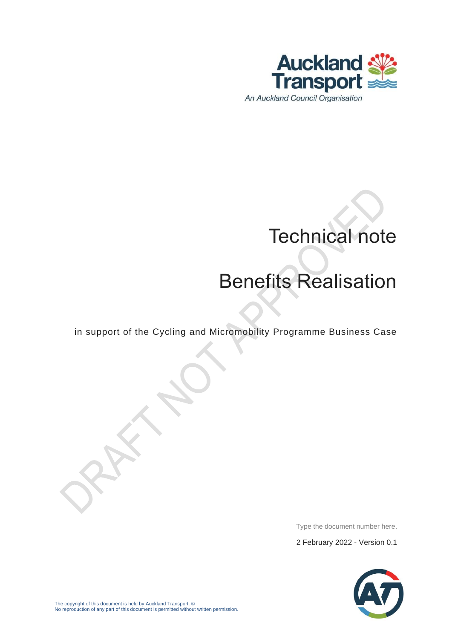

# Technical note

## Benefits Realisation

in support of the Cycling and Micromobility Programme Business Case

Type the document number here.

2 February 2022 - Version 0.1

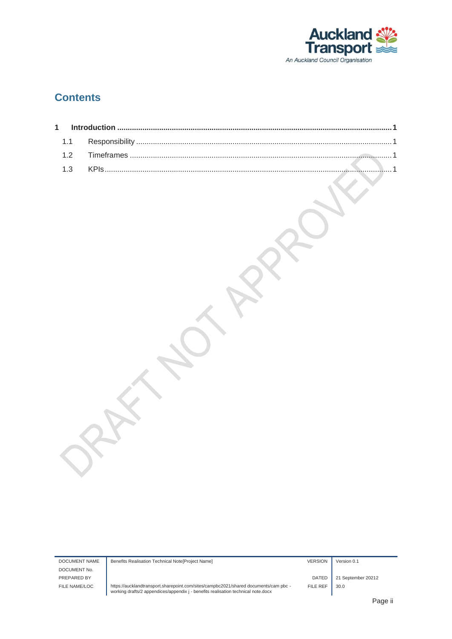

#### **Contents**

DOCUMENT No. PREPARED BY **DATED** 21 September 20212

DOCUMENT NAME Benefits Realisation Technical Note[Project Name] VERSION VERSION Version 0.1

FILE NAME/LOC https://aucklandtransport.sharepoint.com/sites/campbc2021/shared documents/cam pbc - working drafts/2 appendices/appendix j - benefits realisation technical note.docx

FILE REF  $\Big|$  30.0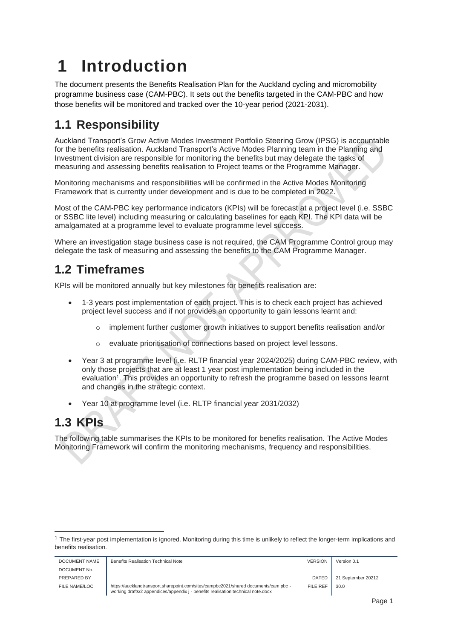### <span id="page-2-0"></span>**1 Introduction**

The document presents the Benefits Realisation Plan for the Auckland cycling and micromobility programme business case (CAM-PBC). It sets out the benefits targeted in the CAM-PBC and how those benefits will be monitored and tracked over the 10-year period (2021-2031).

### <span id="page-2-1"></span>**1.1 Responsibility**

Auckland Transport's Grow Active Modes Investment Portfolio Steering Grow (IPSG) is accountable for the benefits realisation. Auckland Transport's Active Modes Planning team in the Planning and Investment division are responsible for monitoring the benefits but may delegate the tasks of measuring and assessing benefits realisation to Project teams or the Programme Manager.

Monitoring mechanisms and responsibilities will be confirmed in the Active Modes Monitoring Framework that is currently under development and is due to be completed in 2022.

Most of the CAM-PBC key performance indicators (KPIs) will be forecast at a project level (i.e. SSBC or SSBC lite level) including measuring or calculating baselines for each KPI. The KPI data will be amalgamated at a programme level to evaluate programme level success.

Where an investigation stage business case is not required, the CAM Programme Control group may delegate the task of measuring and assessing the benefits to the CAM Programme Manager.

#### <span id="page-2-2"></span>**1.2 Timeframes**

KPIs will be monitored annually but key milestones for benefits realisation are:

- 1-3 years post implementation of each project. This is to check each project has achieved project level success and if not provides an opportunity to gain lessons learnt and:
	- implement further customer growth initiatives to support benefits realisation and/or
	- o evaluate prioritisation of connections based on project level lessons.
- Year 3 at programme level (i.e. RLTP financial year 2024/2025) during CAM-PBC review, with only those projects that are at least 1 year post implementation being included in the evaluation<sup>1</sup>. This provides an opportunity to refresh the programme based on lessons learnt and changes in the strategic context.
- Year 10 at programme level (i.e. RLTP financial year 2031/2032)

#### <span id="page-2-3"></span>**1.3 KPIs**

The following table summarises the KPIs to be monitored for benefits realisation. The Active Modes Monitoring Framework will confirm the monitoring mechanisms, frequency and responsibilities.

<sup>&</sup>lt;sup>1</sup> The first-year post implementation is ignored. Monitoring during this time is unlikely to reflect the longer-term implications and benefits realisation.

| DOCUMENT NAME | <b>Benefits Realisation Technical Note</b>                                                                                                                                | <b>VERSION</b> | Version 0.1        |
|---------------|---------------------------------------------------------------------------------------------------------------------------------------------------------------------------|----------------|--------------------|
| DOCUMENT No.  |                                                                                                                                                                           |                |                    |
| PREPARED BY   |                                                                                                                                                                           | <b>DATED</b>   | 21 September 20212 |
| FILE NAME/LOC | https://aucklandtransport.sharepoint.com/sites/campbc2021/shared documents/cam pbc -<br>working drafts/2 appendices/appendix j - benefits realisation technical note.docx | FILE REF       | 30.0               |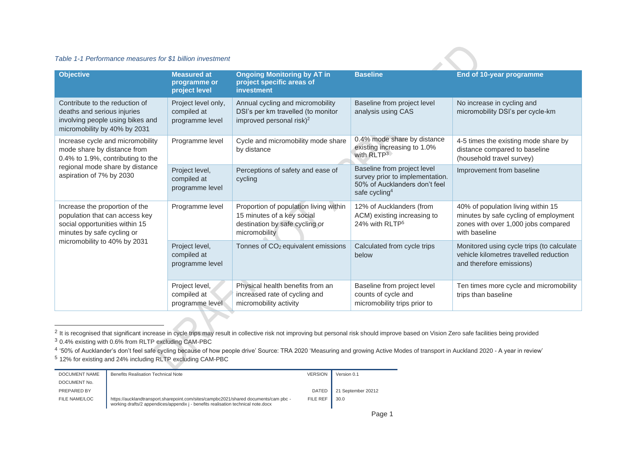#### *Table 1-1 Performance measures for \$1 billion investment*

| <b>Objective</b>                                                                                                                  | <b>Measured at</b><br>programme or<br>project level   | <b>Ongoing Monitoring by AT in</b><br>project specific areas of<br><b>investment</b>                                    | <b>Baseline</b>                                                                                                              | <b>End of 10-year programme</b>                                                                                                     |  |
|-----------------------------------------------------------------------------------------------------------------------------------|-------------------------------------------------------|-------------------------------------------------------------------------------------------------------------------------|------------------------------------------------------------------------------------------------------------------------------|-------------------------------------------------------------------------------------------------------------------------------------|--|
| Contribute to the reduction of<br>deaths and serious injuries<br>involving people using bikes and<br>micromobility by 40% by 2031 | Project level only,<br>compiled at<br>programme level | Annual cycling and micromobility<br>DSI's per km travelled (to monitor<br>improved personal risk) <sup>2</sup>          | Baseline from project level<br>analysis using CAS                                                                            | No increase in cycling and<br>micromobility DSI's per cycle-km                                                                      |  |
| Increase cycle and micromobility<br>mode share by distance from<br>0.4% to 1.9%, contributing to the                              | Programme level                                       | Cycle and micromobility mode share<br>by distance                                                                       | 0.4% mode share by distance<br>existing increasing to 1.0%<br>with RLTP3                                                     | 4-5 times the existing mode share by<br>distance compared to baseline<br>(household travel survey)                                  |  |
| regional mode share by distance<br>aspiration of 7% by 2030                                                                       | Project level,<br>compiled at<br>programme level      | Perceptions of safety and ease of<br>cycling                                                                            | Baseline from project level<br>survey prior to implementation.<br>50% of Aucklanders don't feel<br>safe cycling <sup>4</sup> | Improvement from baseline                                                                                                           |  |
| Increase the proportion of the<br>population that can access key<br>social opportunities within 15<br>minutes by safe cycling or  | Programme level                                       | Proportion of population living within<br>15 minutes of a key social<br>destination by safe cycling or<br>micromobility | 12% of Aucklanders (from<br>ACM) existing increasing to<br>24% with RLTP <sup>5</sup>                                        | 40% of population living within 15<br>minutes by safe cycling of employment<br>zones with over 1,000 jobs compared<br>with baseline |  |
| micromobility to 40% by 2031                                                                                                      | Project level,<br>compiled at<br>programme level      | Tonnes of CO <sub>2</sub> equivalent emissions                                                                          | Calculated from cycle trips<br>below                                                                                         | Monitored using cycle trips (to calculate<br>vehicle kilometres travelled reduction<br>and therefore emissions)                     |  |
|                                                                                                                                   | Project level,<br>compiled at<br>programme level      | Physical health benefits from an<br>increased rate of cycling and<br>micromobility activity                             | Baseline from project level<br>counts of cycle and<br>micromobility trips prior to                                           | Ten times more cycle and micromobility<br>trips than baseline                                                                       |  |

 $^2$  It is recognised that significant increase in cycle trips may result in collective risk not improving but personal risk should improve based on Vision Zero safe facilities being provided

<sup>3</sup> 0.4% existing with 0.6% from RLTP excluding CAM-PBC

<sup>4</sup> '50% of Aucklander's don't feel safe cycling because of how people drive' Source: TRA 2020 'Measuring and growing Active Modes of transport in Auckland 2020 - A year in review'

<sup>5</sup> 12% for existing and 24% including RLTP excluding CAM-PBC

| DOCUMENT NAME | <b>Benefits Realisation Technical Note</b>                                                                                                                                | <b>VERSION</b> | Version 0.1        |
|---------------|---------------------------------------------------------------------------------------------------------------------------------------------------------------------------|----------------|--------------------|
| DOCUMENT No.  |                                                                                                                                                                           |                |                    |
| PREPARED BY   |                                                                                                                                                                           | <b>DATED</b>   | 21 September 20212 |
| FILE NAME/LOC | https://aucklandtransport.sharepoint.com/sites/campbc2021/shared documents/cam pbc -<br>working drafts/2 appendices/appendix j - benefits realisation technical note.docx | FILE REF       | 30.0               |

 $\sim$